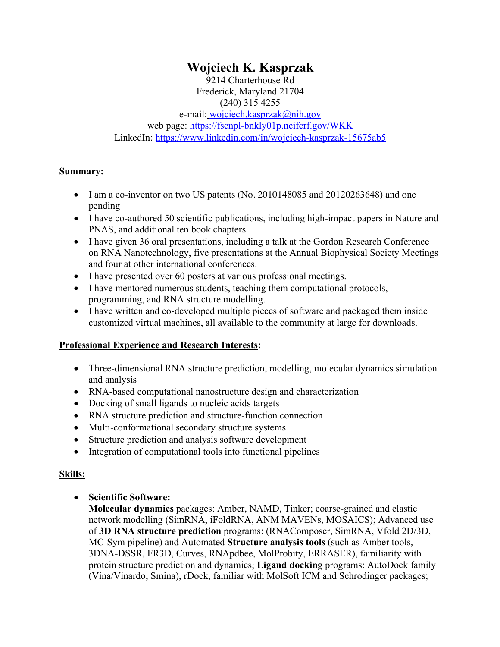# **Wojciech K. Kasprzak**

9214 Charterhouse Rd Frederick, Maryland 21704 (240) 315 4255 e-mail: wojciech.kasprzak@nih.gov web page: https://fscnpl-bnkly01p.ncifcrf.gov/WKK LinkedIn: https://www.linkedin.com/in/wojciech-kasprzak-15675ab5

## **Summary:**

- I am a co-inventor on two US patents (No. 2010148085 and 20120263648) and one pending
- I have co-authored 50 scientific publications, including high-impact papers in Nature and PNAS, and additional ten book chapters.
- I have given 36 oral presentations, including a talk at the Gordon Research Conference on RNA Nanotechnology, five presentations at the Annual Biophysical Society Meetings and four at other international conferences.
- I have presented over 60 posters at various professional meetings.
- I have mentored numerous students, teaching them computational protocols, programming, and RNA structure modelling.
- I have written and co-developed multiple pieces of software and packaged them inside customized virtual machines, all available to the community at large for downloads.

## **Professional Experience and Research Interests:**

- Three-dimensional RNA structure prediction, modelling, molecular dynamics simulation and analysis
- RNA-based computational nanostructure design and characterization
- Docking of small ligands to nucleic acids targets
- RNA structure prediction and structure-function connection
- Multi-conformational secondary structure systems
- Structure prediction and analysis software development
- Integration of computational tools into functional pipelines

## **Skills:**

# • **Scientific Software:**

**Molecular dynamics** packages: Amber, NAMD, Tinker; coarse-grained and elastic network modelling (SimRNA, iFoldRNA, ANM MAVENs, MOSAICS); Advanced use of **3D RNA structure prediction** programs: (RNAComposer, SimRNA, Vfold 2D/3D, MC-Sym pipeline) and Automated **Structure analysis tools** (such as Amber tools, 3DNA-DSSR, FR3D, Curves, RNApdbee, MolProbity, ERRASER), familiarity with protein structure prediction and dynamics; **Ligand docking** programs: AutoDock family (Vina/Vinardo, Smina), rDock, familiar with MolSoft ICM and Schrodinger packages;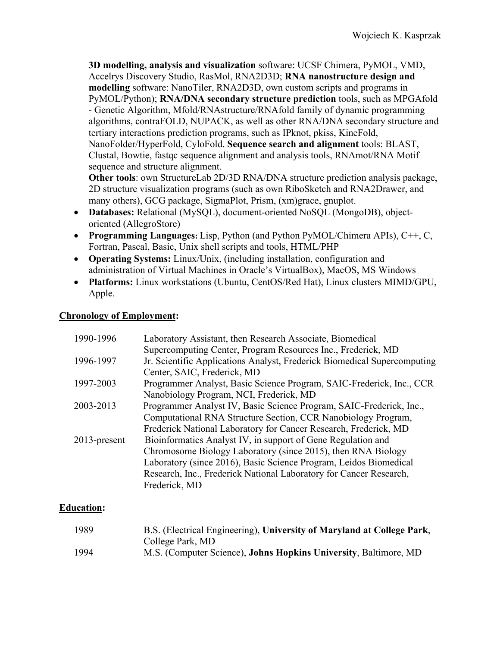**3D modelling, analysis and visualization** software: UCSF Chimera, PyMOL, VMD, Accelrys Discovery Studio, RasMol, RNA2D3D; **RNA nanostructure design and modelling** software: NanoTiler, RNA2D3D, own custom scripts and programs in PyMOL/Python); **RNA/DNA secondary structure prediction** tools, such as MPGAfold - Genetic Algorithm, Mfold/RNAstructure/RNAfold family of dynamic programming algorithms, contraFOLD, NUPACK, as well as other RNA/DNA secondary structure and tertiary interactions prediction programs, such as IPknot, pkiss, KineFold, NanoFolder/HyperFold, CyloFold. **Sequence search and alignment** tools: BLAST, Clustal, Bowtie, fastqc sequence alignment and analysis tools, RNAmot/RNA Motif sequence and structure alignment.

**Other tools**: own StructureLab 2D/3D RNA/DNA structure prediction analysis package, 2D structure visualization programs (such as own RiboSketch and RNA2Drawer, and many others), GCG package, SigmaPlot, Prism, (xm)grace, gnuplot.

- **Databases:** Relational (MySQL), document-oriented NoSQL (MongoDB), objectoriented (AllegroStore)
- **Programming Languages:** Lisp, Python (and Python PyMOL/Chimera APIs), C++, C, Fortran, Pascal, Basic, Unix shell scripts and tools, HTML/PHP
- **Operating Systems:** Linux/Unix, (including installation, configuration and administration of Virtual Machines in Oracle's VirtualBox), MacOS, MS Windows
- **Platforms:** Linux workstations (Ubuntu, CentOS/Red Hat), Linux clusters MIMD/GPU, Apple.

## **Chronology of Employment:**

| 1990-1996       | Laboratory Assistant, then Research Associate, Biomedical                |
|-----------------|--------------------------------------------------------------------------|
|                 | Supercomputing Center, Program Resources Inc., Frederick, MD             |
| 1996-1997       | Jr. Scientific Applications Analyst, Frederick Biomedical Supercomputing |
|                 | Center, SAIC, Frederick, MD                                              |
| 1997-2003       | Programmer Analyst, Basic Science Program, SAIC-Frederick, Inc., CCR     |
|                 | Nanobiology Program, NCI, Frederick, MD                                  |
| 2003-2013       | Programmer Analyst IV, Basic Science Program, SAIC-Frederick, Inc.,      |
|                 | Computational RNA Structure Section, CCR Nanobiology Program,            |
|                 | Frederick National Laboratory for Cancer Research, Frederick, MD         |
| $2013$ -present | Bioinformatics Analyst IV, in support of Gene Regulation and             |
|                 | Chromosome Biology Laboratory (since 2015), then RNA Biology             |
|                 | Laboratory (since 2016), Basic Science Program, Leidos Biomedical        |
|                 | Research, Inc., Frederick National Laboratory for Cancer Research,       |
|                 | Frederick, MD                                                            |
|                 |                                                                          |

# **Education:**

| 1989 | B.S. (Electrical Engineering), University of Maryland at College Park,   |
|------|--------------------------------------------------------------------------|
|      | College Park, MD                                                         |
| 1994 | M.S. (Computer Science), <b>Johns Hopkins University</b> , Baltimore, MD |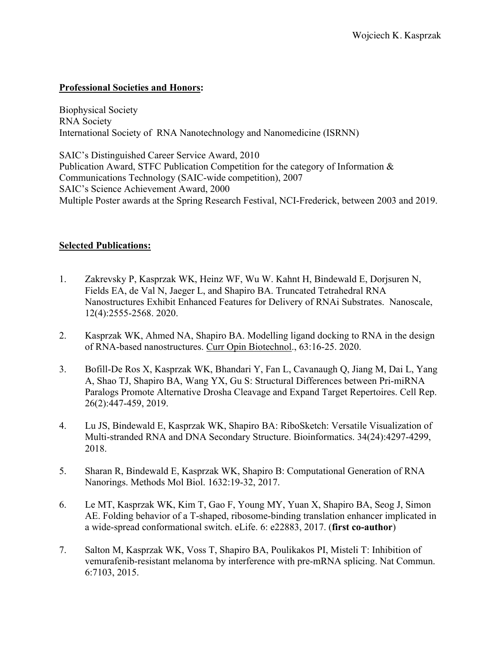#### **Professional Societies and Honors:**

Biophysical Society RNA Society International Society of RNA Nanotechnology and Nanomedicine (ISRNN)

SAIC's Distinguished Career Service Award, 2010 Publication Award, STFC Publication Competition for the category of Information & Communications Technology (SAIC-wide competition), 2007 SAIC's Science Achievement Award, 2000 Multiple Poster awards at the Spring Research Festival, NCI-Frederick, between 2003 and 2019.

#### **Selected Publications:**

- 1. Zakrevsky P, Kasprzak WK, Heinz WF, Wu W. Kahnt H, Bindewald E, Dorjsuren N, Fields EA, de Val N, Jaeger L, and Shapiro BA. Truncated Tetrahedral RNA Nanostructures Exhibit Enhanced Features for Delivery of RNAi Substrates. Nanoscale, 12(4):2555-2568. 2020.
- 2. Kasprzak WK, Ahmed NA, Shapiro BA. Modelling ligand docking to RNA in the design of RNA-based nanostructures. Curr Opin Biotechnol., 63:16-25. 2020.
- 3. Bofill-De Ros X, Kasprzak WK, Bhandari Y, Fan L, Cavanaugh Q, Jiang M, Dai L, Yang A, Shao TJ, Shapiro BA, Wang YX, Gu S: Structural Differences between Pri-miRNA Paralogs Promote Alternative Drosha Cleavage and Expand Target Repertoires. Cell Rep. 26(2):447-459, 2019.
- 4. Lu JS, Bindewald E, Kasprzak WK, Shapiro BA: RiboSketch: Versatile Visualization of Multi-stranded RNA and DNA Secondary Structure. Bioinformatics. 34(24):4297-4299, 2018.
- 5. Sharan R, Bindewald E, Kasprzak WK, Shapiro B: Computational Generation of RNA Nanorings. Methods Mol Biol. 1632:19-32, 2017.
- 6. Le MT, Kasprzak WK, Kim T, Gao F, Young MY, Yuan X, Shapiro BA, Seog J, Simon AE. Folding behavior of a T-shaped, ribosome-binding translation enhancer implicated in a wide-spread conformational switch. eLife. 6: e22883, 2017. (**first co-author**)
- 7. Salton M, Kasprzak WK, Voss T, Shapiro BA, Poulikakos PI, Misteli T: Inhibition of vemurafenib-resistant melanoma by interference with pre-mRNA splicing. Nat Commun. 6:7103, 2015.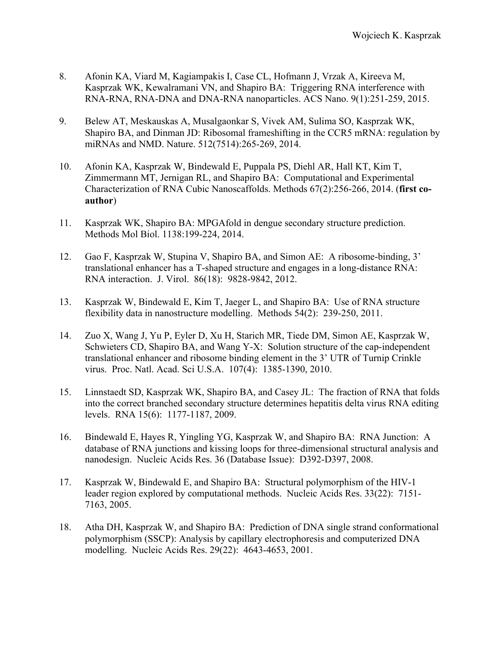- 8. Afonin KA, Viard M, Kagiampakis I, Case CL, Hofmann J, Vrzak A, Kireeva M, Kasprzak WK, Kewalramani VN, and Shapiro BA: Triggering RNA interference with RNA-RNA, RNA-DNA and DNA-RNA nanoparticles. ACS Nano. 9(1):251-259, 2015.
- 9. Belew AT, Meskauskas A, Musalgaonkar S, Vivek AM, Sulima SO, Kasprzak WK, Shapiro BA, and Dinman JD: Ribosomal frameshifting in the CCR5 mRNA: regulation by miRNAs and NMD. Nature. 512(7514):265-269, 2014.
- 10. Afonin KA, Kasprzak W, Bindewald E, Puppala PS, Diehl AR, Hall KT, Kim T, Zimmermann MT, Jernigan RL, and Shapiro BA: Computational and Experimental Characterization of RNA Cubic Nanoscaffolds. Methods 67(2):256-266, 2014. (**first coauthor**)
- 11. Kasprzak WK, Shapiro BA: MPGAfold in dengue secondary structure prediction. Methods Mol Biol. 1138:199-224, 2014.
- 12. Gao F, Kasprzak W, Stupina V, Shapiro BA, and Simon AE: A ribosome-binding, 3' translational enhancer has a T-shaped structure and engages in a long-distance RNA: RNA interaction. J. Virol. 86(18): 9828-9842, 2012.
- 13. Kasprzak W, Bindewald E, Kim T, Jaeger L, and Shapiro BA: Use of RNA structure flexibility data in nanostructure modelling. Methods 54(2): 239-250, 2011.
- 14. Zuo X, Wang J, Yu P, Eyler D, Xu H, Starich MR, Tiede DM, Simon AE, Kasprzak W, Schwieters CD, Shapiro BA, and Wang Y-X: Solution structure of the cap-independent translational enhancer and ribosome binding element in the 3' UTR of Turnip Crinkle virus. Proc. Natl. Acad. Sci U.S.A. 107(4): 1385-1390, 2010.
- 15. Linnstaedt SD, Kasprzak WK, Shapiro BA, and Casey JL: The fraction of RNA that folds into the correct branched secondary structure determines hepatitis delta virus RNA editing levels. RNA 15(6): 1177-1187, 2009.
- 16. Bindewald E, Hayes R, Yingling YG, Kasprzak W, and Shapiro BA: RNA Junction: A database of RNA junctions and kissing loops for three-dimensional structural analysis and nanodesign. Nucleic Acids Res. 36 (Database Issue): D392-D397, 2008.
- 17. Kasprzak W, Bindewald E, and Shapiro BA: Structural polymorphism of the HIV-1 leader region explored by computational methods. Nucleic Acids Res. 33(22): 7151- 7163, 2005.
- 18. Atha DH, Kasprzak W, and Shapiro BA: Prediction of DNA single strand conformational polymorphism (SSCP): Analysis by capillary electrophoresis and computerized DNA modelling. Nucleic Acids Res. 29(22): 4643-4653, 2001.